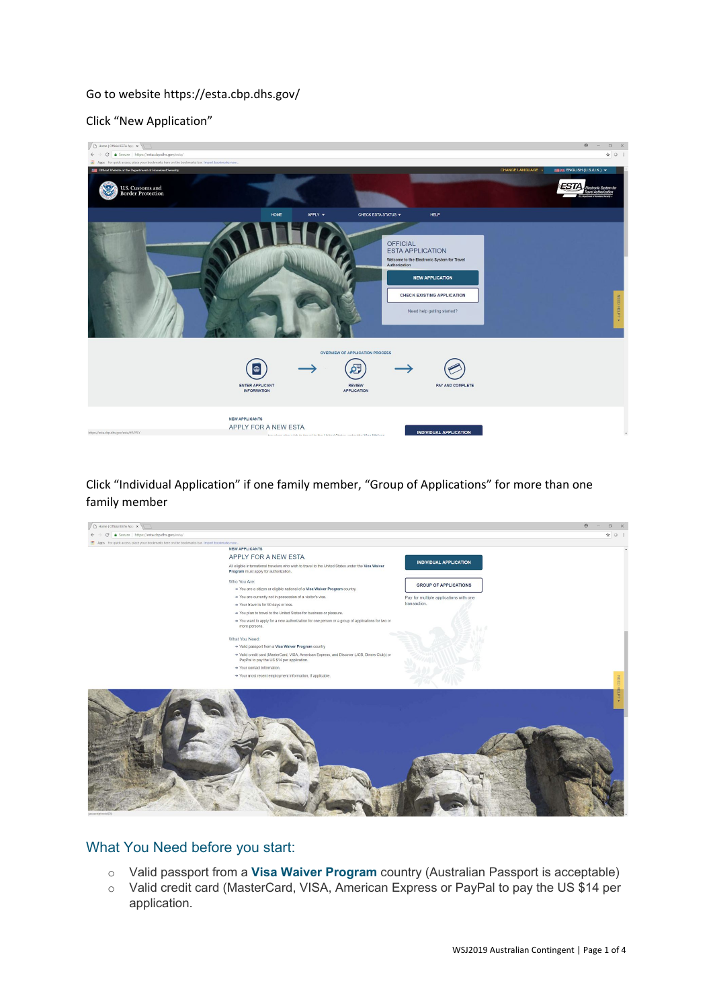## Go to website https://esta.cbp.dhs.gov/

## Click "New Application"



Click "Individual Application" if one family member, "Group of Applications" for more than one family member



## What You Need before you start:

- o Valid passport from a **Visa Waiver Program** country (Australian Passport is acceptable)
- o Valid credit card (MasterCard, VISA, American Express or PayPal to pay the US \$14 per application.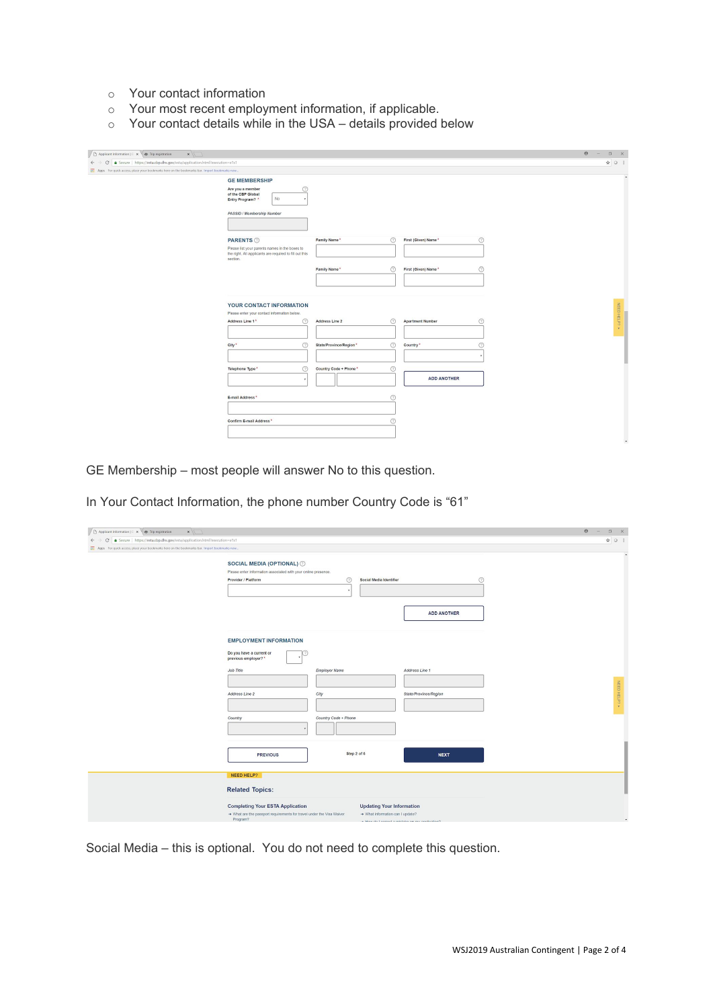- o Your contact information
- o Your most recent employment information, if applicable.
- o Your contact details while in the USA details provided below

| $x \sqrt{1}$                                                                                    |                                                                                                                       |                                      |                         |                | $\Theta$<br><b>Contract</b> | $\Box$ $\times$      |
|-------------------------------------------------------------------------------------------------|-----------------------------------------------------------------------------------------------------------------------|--------------------------------------|-------------------------|----------------|-----------------------------|----------------------|
| ← → C   a Secure   https://esta.cbp.dhs.gov/esta/application.html?execution=e1s1                |                                                                                                                       |                                      |                         |                |                             | $\star$ 0 :          |
| Fil Apps For quick access, place your bookmarks here on the bookmarks bar. Import bookmarks now |                                                                                                                       |                                      |                         |                |                             |                      |
|                                                                                                 | <b>GE MEMBERSHIP</b>                                                                                                  |                                      |                         |                |                             |                      |
|                                                                                                 | ⊚<br>Are you a member<br>of the CBP Global<br>No<br>Entry Program? *                                                  |                                      |                         |                |                             |                      |
|                                                                                                 | PASSID / Membership Number                                                                                            |                                      |                         |                |                             |                      |
|                                                                                                 | <b>PARENTS</b>                                                                                                        | Family Name*<br>⊚                    | First (Given) Name*     | $\circledcirc$ |                             |                      |
|                                                                                                 | Please list your parents names in the boxes to<br>the right. All applicants are required to fill out this<br>section. |                                      |                         |                |                             |                      |
|                                                                                                 |                                                                                                                       | Family Name*<br>⊚                    | First (Given) Name*     | $\odot$        |                             |                      |
|                                                                                                 |                                                                                                                       |                                      |                         |                |                             |                      |
|                                                                                                 | YOUR CONTACT INFORMATION<br>Please enter your contact information below.                                              |                                      |                         |                |                             | NEED HELP? $\bullet$ |
|                                                                                                 | $\circledcirc$<br>Address Line 1*                                                                                     | $\odot$<br>Address Line 2            | <b>Apartment Number</b> | $\odot$        |                             |                      |
|                                                                                                 | $\odot$<br>City*                                                                                                      | $\odot$<br>State/Province/Region*    | Country <sup>*</sup>    | $\odot$        |                             |                      |
|                                                                                                 |                                                                                                                       |                                      |                         |                |                             |                      |
|                                                                                                 | $\circledcirc$<br>Telephone Type*                                                                                     | $^{\circ}$<br>Country Code + Phone * | <b>ADD ANOTHER</b>      |                |                             |                      |
|                                                                                                 |                                                                                                                       |                                      |                         |                |                             |                      |
|                                                                                                 | E-mail Address*                                                                                                       | ⊚                                    |                         |                |                             |                      |
|                                                                                                 | Confirm E-mail Address*                                                                                               | 0                                    |                         |                |                             |                      |
|                                                                                                 |                                                                                                                       |                                      |                         |                |                             |                      |

GE Membership – most people will answer No to this question.

In Your Contact Information, the phone number Country Code is "61"

| Applicant Information   C x 45 Trip registration<br>$x \sqrt{1}$                                 |                                                                                                                              |                                                                                                                                                                                                                                                                                                        |                       | $\theta$<br>$\Box$ $\times$<br>$\sim$ |
|--------------------------------------------------------------------------------------------------|------------------------------------------------------------------------------------------------------------------------------|--------------------------------------------------------------------------------------------------------------------------------------------------------------------------------------------------------------------------------------------------------------------------------------------------------|-----------------------|---------------------------------------|
| ← → C   a Secure   https://esta.cbp.dhs.gov/esta/application.html?execution=e1s1                 |                                                                                                                              |                                                                                                                                                                                                                                                                                                        |                       | ☆ ○ :                                 |
| Fil Apps For quick access, place your bookmarks here on the bookmarks bar. Import bookmarks now. |                                                                                                                              |                                                                                                                                                                                                                                                                                                        |                       |                                       |
|                                                                                                  | SOCIAL MEDIA (OPTIONAL) 2<br>Please enter information associated with your online presence.<br>Provider / Platform           | $\circledcirc$<br>Social Media Identifier                                                                                                                                                                                                                                                              | $\odot$               |                                       |
|                                                                                                  |                                                                                                                              |                                                                                                                                                                                                                                                                                                        | <b>ADD ANOTHER</b>    |                                       |
|                                                                                                  | <b>EMPLOYMENT INFORMATION</b><br>Do you have a current or<br>previous employer?*                                             |                                                                                                                                                                                                                                                                                                        |                       |                                       |
|                                                                                                  | Job Title                                                                                                                    | Employer Name                                                                                                                                                                                                                                                                                          | Address Line 1        |                                       |
|                                                                                                  | Address Line 2                                                                                                               | City                                                                                                                                                                                                                                                                                                   | State/Province/Region | NEED HELP?                            |
|                                                                                                  | Country                                                                                                                      | Country Code + Phone                                                                                                                                                                                                                                                                                   |                       |                                       |
|                                                                                                  | <b>PREVIOUS</b>                                                                                                              | Step 2 of 6                                                                                                                                                                                                                                                                                            | <b>NEXT</b>           |                                       |
|                                                                                                  | NEED HELP?<br><b>Related Topics:</b>                                                                                         |                                                                                                                                                                                                                                                                                                        |                       |                                       |
|                                                                                                  | <b>Completing Your ESTA Application</b><br>A What are the passport requirements for travel under the Visa Waiver<br>Program? | <b>Updating Your Information</b><br>A What information can I update?<br>the company of the company of the company and the company of the company of the company of the company of the company of the company of the company of the company of the company of the company of the company of the company | <b>CONTRACTOR</b>     |                                       |

Social Media – this is optional. You do not need to complete this question.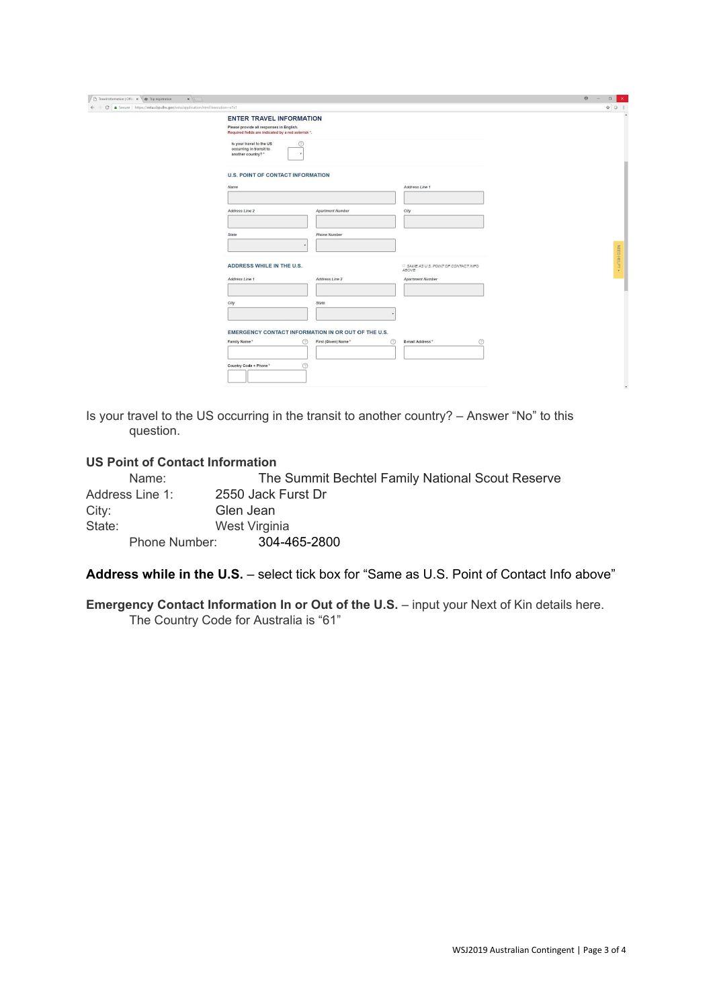| △ Travel Information   Offici x < ● Trip registration<br>$x \sqrt{1}$          |                                                                                                                                                                                                                    |                                    |                                             |  | $\Theta$<br>$\sim$ | $\Box$ | $\times$                 |
|--------------------------------------------------------------------------------|--------------------------------------------------------------------------------------------------------------------------------------------------------------------------------------------------------------------|------------------------------------|---------------------------------------------|--|--------------------|--------|--------------------------|
| ← → C   Secure   https://esta.cbp.dhs.gov/esta/application.html?execution=e1s1 |                                                                                                                                                                                                                    |                                    |                                             |  |                    |        | ☆ ○ :                    |
|                                                                                | <b>ENTER TRAVEL INFORMATION</b><br>Please provide all responses in English.<br>Required fields are indicated by a red asterisk *.<br>Is your travel to the US<br>⊚<br>occurring in transit to<br>another country?* |                                    |                                             |  |                    |        |                          |
|                                                                                | <b>U.S. POINT OF CONTACT INFORMATION</b><br>Name                                                                                                                                                                   |                                    | Address Line 1                              |  |                    |        |                          |
|                                                                                | Address Line 2                                                                                                                                                                                                     | <b>Apartment Number</b>            | City                                        |  |                    |        |                          |
|                                                                                | State                                                                                                                                                                                                              | <b>Phone Number</b>                |                                             |  |                    |        |                          |
|                                                                                | ADDRESS WHILE IN THE U.S.                                                                                                                                                                                          |                                    | SAME AS U.S. POINT OF CONTACT INFO<br>ABOVE |  |                    |        | NEED HELP?               |
|                                                                                | Address Line 1                                                                                                                                                                                                     | Address Line 2                     | <b>Apartment Number</b>                     |  |                    |        |                          |
|                                                                                | City                                                                                                                                                                                                               | State                              |                                             |  |                    |        |                          |
|                                                                                | EMERGENCY CONTACT INFORMATION IN OR OUT OF THE U.S.                                                                                                                                                                |                                    |                                             |  |                    |        |                          |
|                                                                                | Family Name*<br>⊚                                                                                                                                                                                                  | $\circledR$<br>First (Given) Name* | $\odot$<br>E-mail Address*                  |  |                    |        |                          |
|                                                                                | $^{\circ}$<br>Country Code + Phone *                                                                                                                                                                               |                                    |                                             |  |                    |        | $\overline{\phantom{a}}$ |

Is your travel to the US occurring in the transit to another country? – Answer "No" to this question.

## **US Point of Contact Information**

Name: The Summit Bechtel Family National Scout Reserve Address Line 1: 2550 Jack Furst Dr City: Glen Jean<br>State: West Virgin West Virginia Phone Number: 304-465-2800

**Address while in the U.S.** – select tick box for "Same as U.S. Point of Contact Info above"

**Emergency Contact Information In or Out of the U.S.** - input your Next of Kin details here. The Country Code for Australia is "61"